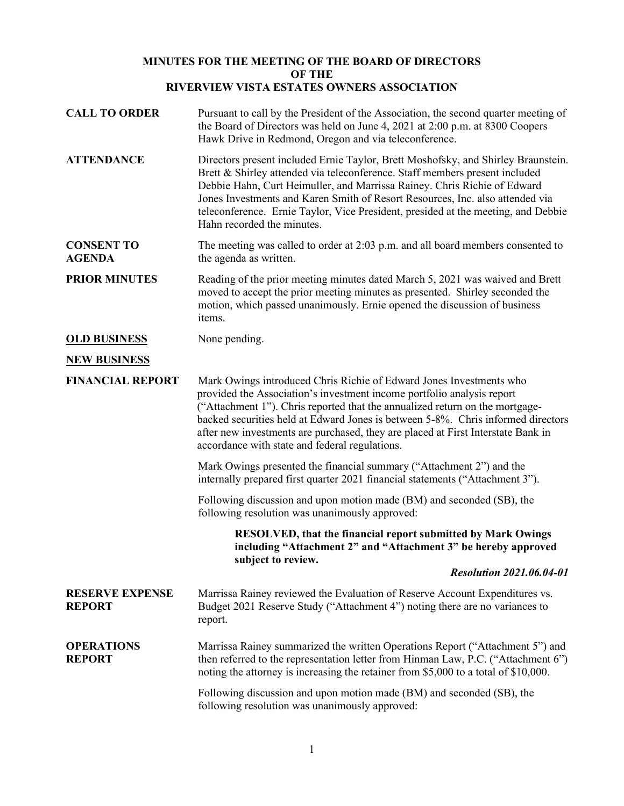## **MINUTES FOR THE MEETING OF THE BOARD OF DIRECTORS OF THE RIVERVIEW VISTA ESTATES OWNERS ASSOCIATION**

| <b>CALL TO ORDER</b>                    | Pursuant to call by the President of the Association, the second quarter meeting of<br>the Board of Directors was held on June 4, 2021 at 2:00 p.m. at 8300 Coopers<br>Hawk Drive in Redmond, Oregon and via teleconference.                                                                                                                                                                                                                            |
|-----------------------------------------|---------------------------------------------------------------------------------------------------------------------------------------------------------------------------------------------------------------------------------------------------------------------------------------------------------------------------------------------------------------------------------------------------------------------------------------------------------|
| <b>ATTENDANCE</b>                       | Directors present included Ernie Taylor, Brett Moshofsky, and Shirley Braunstein.<br>Brett & Shirley attended via teleconference. Staff members present included<br>Debbie Hahn, Curt Heimuller, and Marrissa Rainey. Chris Richie of Edward<br>Jones Investments and Karen Smith of Resort Resources, Inc. also attended via<br>teleconference. Ernie Taylor, Vice President, presided at the meeting, and Debbie<br>Hahn recorded the minutes.        |
| <b>CONSENT TO</b><br><b>AGENDA</b>      | The meeting was called to order at 2:03 p.m. and all board members consented to<br>the agenda as written.                                                                                                                                                                                                                                                                                                                                               |
| <b>PRIOR MINUTES</b>                    | Reading of the prior meeting minutes dated March 5, 2021 was waived and Brett<br>moved to accept the prior meeting minutes as presented. Shirley seconded the<br>motion, which passed unanimously. Ernie opened the discussion of business<br>items.                                                                                                                                                                                                    |
| <b>OLD BUSINESS</b>                     | None pending.                                                                                                                                                                                                                                                                                                                                                                                                                                           |
| <b>NEW BUSINESS</b>                     |                                                                                                                                                                                                                                                                                                                                                                                                                                                         |
| <b>FINANCIAL REPORT</b>                 | Mark Owings introduced Chris Richie of Edward Jones Investments who<br>provided the Association's investment income portfolio analysis report<br>("Attachment 1"). Chris reported that the annualized return on the mortgage-<br>backed securities held at Edward Jones is between 5-8%. Chris informed directors<br>after new investments are purchased, they are placed at First Interstate Bank in<br>accordance with state and federal regulations. |
|                                         | Mark Owings presented the financial summary ("Attachment 2") and the<br>internally prepared first quarter 2021 financial statements ("Attachment 3").                                                                                                                                                                                                                                                                                                   |
|                                         | Following discussion and upon motion made (BM) and seconded (SB), the<br>following resolution was unanimously approved:                                                                                                                                                                                                                                                                                                                                 |
|                                         | RESOLVED, that the financial report submitted by Mark Owings<br>including "Attachment 2" and "Attachment 3" be hereby approved<br>subject to review.                                                                                                                                                                                                                                                                                                    |
|                                         | <b>Resolution 2021.06.04-01</b>                                                                                                                                                                                                                                                                                                                                                                                                                         |
| <b>RESERVE EXPENSE</b><br><b>REPORT</b> | Marrissa Rainey reviewed the Evaluation of Reserve Account Expenditures vs.<br>Budget 2021 Reserve Study ("Attachment 4") noting there are no variances to<br>report.                                                                                                                                                                                                                                                                                   |
| <b>OPERATIONS</b><br><b>REPORT</b>      | Marrissa Rainey summarized the written Operations Report ("Attachment 5") and<br>then referred to the representation letter from Hinman Law, P.C. ("Attachment 6")<br>noting the attorney is increasing the retainer from \$5,000 to a total of \$10,000.                                                                                                                                                                                               |
|                                         | Following discussion and upon motion made (BM) and seconded (SB), the<br>following resolution was unanimously approved:                                                                                                                                                                                                                                                                                                                                 |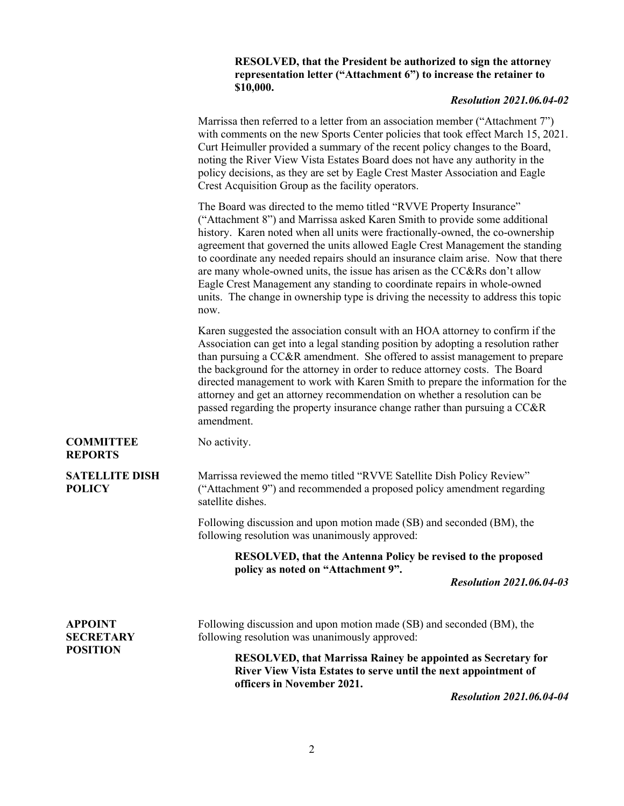| <b>RESOLVED, that the President be authorized to sign the attorney</b> |
|------------------------------------------------------------------------|
| representation letter ("Attachment 6") to increase the retainer to     |
| \$10,000.                                                              |

## *Resolution 2021.06.04-02*

Marrissa then referred to a letter from an association member ("Attachment 7") with comments on the new Sports Center policies that took effect March 15, 2021. Curt Heimuller provided a summary of the recent policy changes to the Board, noting the River View Vista Estates Board does not have any authority in the policy decisions, as they are set by Eagle Crest Master Association and Eagle Crest Acquisition Group as the facility operators. The Board was directed to the memo titled "RVVE Property Insurance" ("Attachment 8") and Marrissa asked Karen Smith to provide some additional history. Karen noted when all units were fractionally-owned, the co-ownership agreement that governed the units allowed Eagle Crest Management the standing to coordinate any needed repairs should an insurance claim arise. Now that there are many whole-owned units, the issue has arisen as the CC&Rs don't allow Eagle Crest Management any standing to coordinate repairs in whole-owned units. The change in ownership type is driving the necessity to address this topic now. Karen suggested the association consult with an HOA attorney to confirm if the Association can get into a legal standing position by adopting a resolution rather than pursuing a CC&R amendment. She offered to assist management to prepare the background for the attorney in order to reduce attorney costs. The Board directed management to work with Karen Smith to prepare the information for the attorney and get an attorney recommendation on whether a resolution can be passed regarding the property insurance change rather than pursuing a CC&R amendment. **COMMITTEE REPORTS** No activity. **SATELLITE DISH POLICY** Marrissa reviewed the memo titled "RVVE Satellite Dish Policy Review" ("Attachment 9") and recommended a proposed policy amendment regarding satellite dishes. Following discussion and upon motion made (SB) and seconded (BM), the following resolution was unanimously approved: **RESOLVED, that the Antenna Policy be revised to the proposed policy as noted on "Attachment 9".**  *Resolution 2021.06.04-03* **APPOINT SECRETARY POSITION** Following discussion and upon motion made (SB) and seconded (BM), the following resolution was unanimously approved: **RESOLVED, that Marrissa Rainey be appointed as Secretary for River View Vista Estates to serve until the next appointment of officers in November 2021.** 

*Resolution 2021.06.04-04*